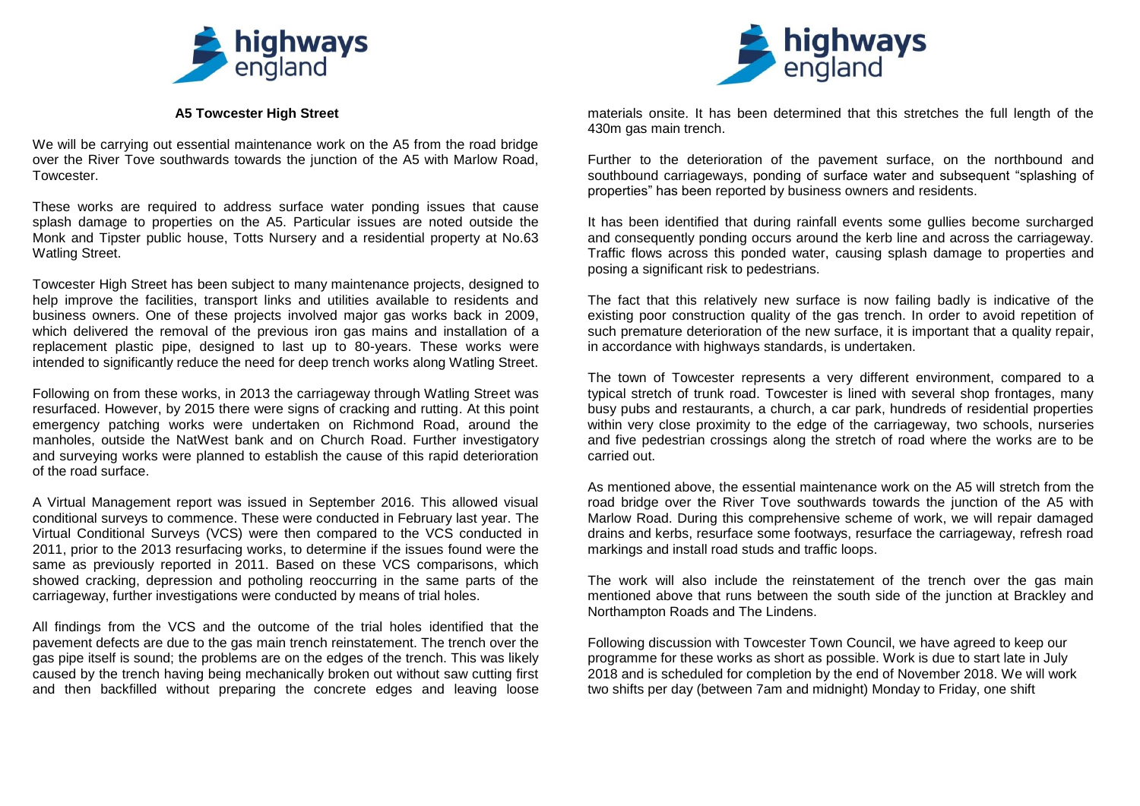

## **A5 Towcester High Street**

We will be carrying out essential maintenance work on the A5 from the road bridge over the River Tove southwards towards the junction of the A5 with Marlow Road, Towcester.

These works are required to address surface water ponding issues that cause splash damage to properties on the A5. Particular issues are noted outside the Monk and Tipster public house, Totts Nursery and a residential property at No.63 Watling Street.

Towcester High Street has been subject to many maintenance projects, designed to help improve the facilities, transport links and utilities available to residents and business owners. One of these projects involved major gas works back in 2009, which delivered the removal of the previous iron gas mains and installation of a replacement plastic pipe, designed to last up to 80-years. These works were intended to significantly reduce the need for deep trench works along Watling Street.

Following on from these works, in 2013 the carriageway through Watling Street was resurfaced. However, by 2015 there were signs of cracking and rutting. At this point emergency patching works were undertaken on Richmond Road, around the manholes, outside the NatWest bank and on Church Road. Further investigatory and surveying works were planned to establish the cause of this rapid deterioration of the road surface.

A Virtual Management report was issued in September 2016. This allowed visual conditional surveys to commence. These were conducted in February last year. The Virtual Conditional Surveys (VCS) were then compared to the VCS conducted in 2011, prior to the 2013 resurfacing works, to determine if the issues found were the same as previously reported in 2011. Based on these VCS comparisons, which showed cracking, depression and potholing reoccurring in the same parts of the carriageway, further investigations were conducted by means of trial holes.

All findings from the VCS and the outcome of the trial holes identified that the pavement defects are due to the gas main trench reinstatement. The trench over the gas pipe itself is sound; the problems are on the edges of the trench. This was likely caused by the trench having being mechanically broken out without saw cutting first and then backfilled without preparing the concrete edges and leaving loose



materials onsite. It has been determined that this stretches the full length of the 430m gas main trench.

Further to the deterioration of the pavement surface, on the northbound and southbound carriageways, ponding of surface water and subsequent "splashing of properties" has been reported by business owners and residents.

It has been identified that during rainfall events some gullies become surcharged and consequently ponding occurs around the kerb line and across the carriageway. Traffic flows across this ponded water, causing splash damage to properties and posing a significant risk to pedestrians.

The fact that this relatively new surface is now failing badly is indicative of the existing poor construction quality of the gas trench. In order to avoid repetition of such premature deterioration of the new surface, it is important that a quality repair, in accordance with highways standards, is undertaken.

The town of Towcester represents a very different environment, compared to a typical stretch of trunk road. Towcester is lined with several shop frontages, many busy pubs and restaurants, a church, a car park, hundreds of residential properties within very close proximity to the edge of the carriageway, two schools, nurseries and five pedestrian crossings along the stretch of road where the works are to be carried out.

As mentioned above, the essential maintenance work on the A5 will stretch from the road bridge over the River Tove southwards towards the junction of the A5 with Marlow Road. During this comprehensive scheme of work, we will repair damaged drains and kerbs, resurface some footways, resurface the carriageway, refresh road markings and install road studs and traffic loops.

The work will also include the reinstatement of the trench over the gas main mentioned above that runs between the south side of the junction at Brackley and Northampton Roads and The Lindens.

Following discussion with Towcester Town Council, we have agreed to keep our programme for these works as short as possible. Work is due to start late in July 2018 and is scheduled for completion by the end of November 2018. We will work two shifts per day (between 7am and midnight) Monday to Friday, one shift